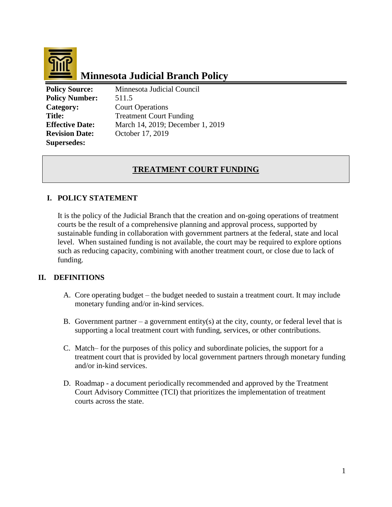

# **Minnesota Judicial Branch Policy**

**Policy Source:** Minnesota Judicial Council **Policy Number:** 511.5 **Supersedes:**

**Category:** Court Operations **Title:** Treatment Court Funding **Effective Date:** March 14, 2019; December 1, 2019 **Revision Date:** October 17, 2019

# **TREATMENT COURT FUNDING**

# **I. POLICY STATEMENT**

It is the policy of the Judicial Branch that the creation and on-going operations of treatment courts be the result of a comprehensive planning and approval process, supported by sustainable funding in collaboration with government partners at the federal, state and local level. When sustained funding is not available, the court may be required to explore options such as reducing capacity, combining with another treatment court, or close due to lack of funding.

## **II. DEFINITIONS**

- A. Core operating budget the budget needed to sustain a treatment court. It may include monetary funding and/or in-kind services.
- B. Government partner a government entity(s) at the city, county, or federal level that is supporting a local treatment court with funding, services, or other contributions.
- C. Match– for the purposes of this policy and subordinate policies, the support for a treatment court that is provided by local government partners through monetary funding and/or in-kind services.
- D. Roadmap a document periodically recommended and approved by the Treatment Court Advisory Committee (TCI) that prioritizes the implementation of treatment courts across the state.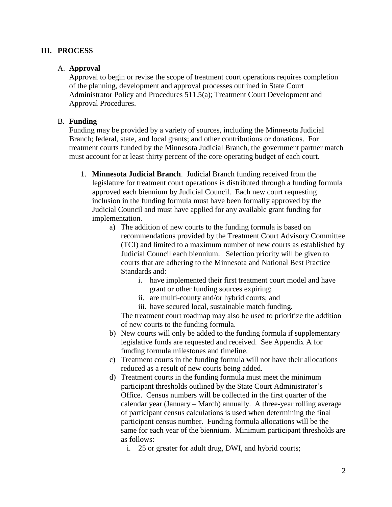### **III. PROCESS**

#### A. **Approval**

Approval to begin or revise the scope of treatment court operations requires completion of the planning, development and approval processes outlined in State Court Administrator Policy and Procedures 511.5(a); Treatment Court Development and Approval Procedures.

#### B. **Funding**

Funding may be provided by a variety of sources, including the Minnesota Judicial Branch; federal, state, and local grants; and other contributions or donations. For treatment courts funded by the Minnesota Judicial Branch, the government partner match must account for at least thirty percent of the core operating budget of each court.

- 1. **Minnesota Judicial Branch**. Judicial Branch funding received from the legislature for treatment court operations is distributed through a funding formula approved each biennium by Judicial Council. Each new court requesting inclusion in the funding formula must have been formally approved by the Judicial Council and must have applied for any available grant funding for implementation.
	- a) The addition of new courts to the funding formula is based on recommendations provided by the Treatment Court Advisory Committee (TCI) and limited to a maximum number of new courts as established by Judicial Council each biennium. Selection priority will be given to courts that are adhering to the Minnesota and National Best Practice Standards and:
		- i. have implemented their first treatment court model and have grant or other funding sources expiring;
		- ii. are multi-county and/or hybrid courts; and
		- iii. have secured local, sustainable match funding.

The treatment court roadmap may also be used to prioritize the addition of new courts to the funding formula.

- b) New courts will only be added to the funding formula if supplementary legislative funds are requested and received. See Appendix A for funding formula milestones and timeline.
- c) Treatment courts in the funding formula will not have their allocations reduced as a result of new courts being added.
- d) Treatment courts in the funding formula must meet the minimum participant thresholds outlined by the State Court Administrator's Office. Census numbers will be collected in the first quarter of the calendar year (January – March) annually. A three-year rolling average of participant census calculations is used when determining the final participant census number. Funding formula allocations will be the same for each year of the biennium. Minimum participant thresholds are as follows:
	- i. 25 or greater for adult drug, DWI, and hybrid courts;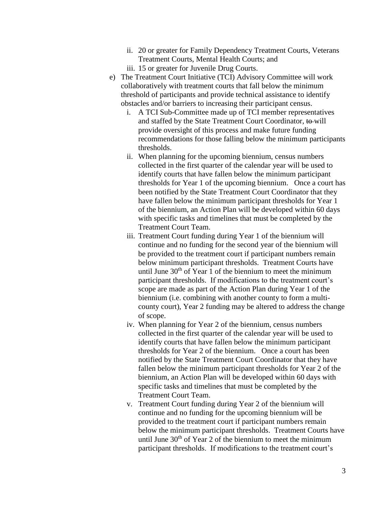- ii. 20 or greater for Family Dependency Treatment Courts, Veterans Treatment Courts, Mental Health Courts; and
- iii. 15 or greater for Juvenile Drug Courts.
- e) The Treatment Court Initiative (TCI) Advisory Committee will work collaboratively with treatment courts that fall below the minimum threshold of participants and provide technical assistance to identify obstacles and/or barriers to increasing their participant census.
	- i. A TCI Sub-Committee made up of TCI member representatives and staffed by the State Treatment Court Coordinator, to-will provide oversight of this process and make future funding recommendations for those falling below the minimum participants thresholds.
	- ii. When planning for the upcoming biennium, census numbers collected in the first quarter of the calendar year will be used to identify courts that have fallen below the minimum participant thresholds for Year 1 of the upcoming biennium. Once a court has been notified by the State Treatment Court Coordinator that they have fallen below the minimum participant thresholds for Year 1 of the biennium, an Action Plan will be developed within 60 days with specific tasks and timelines that must be completed by the Treatment Court Team.
	- iii. Treatment Court funding during Year 1 of the biennium will continue and no funding for the second year of the biennium will be provided to the treatment court if participant numbers remain below minimum participant thresholds. Treatment Courts have until June  $30<sup>th</sup>$  of Year 1 of the biennium to meet the minimum participant thresholds. If modifications to the treatment court's scope are made as part of the Action Plan during Year 1 of the biennium (i.e. combining with another county to form a multicounty court), Year 2 funding may be altered to address the change of scope.
	- iv. When planning for Year 2 of the biennium, census numbers collected in the first quarter of the calendar year will be used to identify courts that have fallen below the minimum participant thresholds for Year 2 of the biennium. Once a court has been notified by the State Treatment Court Coordinator that they have fallen below the minimum participant thresholds for Year 2 of the biennium, an Action Plan will be developed within 60 days with specific tasks and timelines that must be completed by the Treatment Court Team.
	- v. Treatment Court funding during Year 2 of the biennium will continue and no funding for the upcoming biennium will be provided to the treatment court if participant numbers remain below the minimum participant thresholds. Treatment Courts have until June  $30<sup>th</sup>$  of Year 2 of the biennium to meet the minimum participant thresholds. If modifications to the treatment court's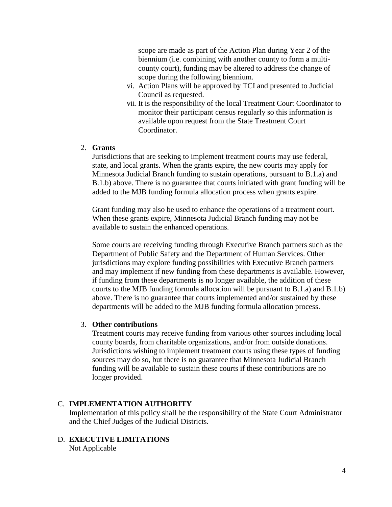scope are made as part of the Action Plan during Year 2 of the biennium (i.e. combining with another county to form a multicounty court), funding may be altered to address the change of scope during the following biennium.

- vi. Action Plans will be approved by TCI and presented to Judicial Council as requested.
- vii. It is the responsibility of the local Treatment Court Coordinator to monitor their participant census regularly so this information is available upon request from the State Treatment Court Coordinator.

### 2. **Grants**

Jurisdictions that are seeking to implement treatment courts may use federal, state, and local grants. When the grants expire, the new courts may apply for Minnesota Judicial Branch funding to sustain operations, pursuant to B.1.a) and B.1.b) above. There is no guarantee that courts initiated with grant funding will be added to the MJB funding formula allocation process when grants expire.

Grant funding may also be used to enhance the operations of a treatment court. When these grants expire, Minnesota Judicial Branch funding may not be available to sustain the enhanced operations.

Some courts are receiving funding through Executive Branch partners such as the Department of Public Safety and the Department of Human Services. Other jurisdictions may explore funding possibilities with Executive Branch partners and may implement if new funding from these departments is available. However, if funding from these departments is no longer available, the addition of these courts to the MJB funding formula allocation will be pursuant to B.1.a) and B.1.b) above. There is no guarantee that courts implemented and/or sustained by these departments will be added to the MJB funding formula allocation process.

#### 3. **Other contributions**

Treatment courts may receive funding from various other sources including local county boards, from charitable organizations, and/or from outside donations. Jurisdictions wishing to implement treatment courts using these types of funding sources may do so, but there is no guarantee that Minnesota Judicial Branch funding will be available to sustain these courts if these contributions are no longer provided.

#### C. **IMPLEMENTATION AUTHORITY**

Implementation of this policy shall be the responsibility of the State Court Administrator and the Chief Judges of the Judicial Districts.

#### D. **EXECUTIVE LIMITATIONS**

Not Applicable